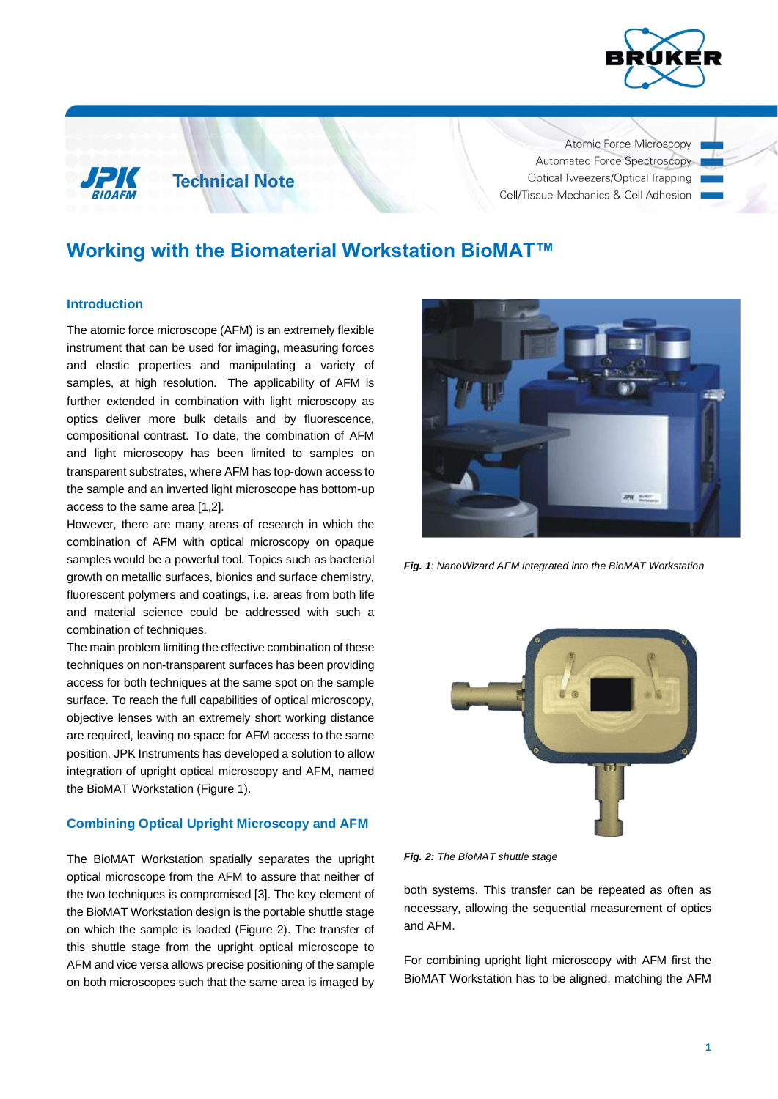

Atomic Force Microscopy Automated Force Spectroscopy Optical Tweezers/Optical Trapping Cell/Tissue Mechanics & Cell Adhesion

# **Working with the Biomaterial Workstation BioMAT™**

### **Introduction**

The atomic force microscope (AFM) is an extremely flexible instrument that can be used for imaging, measuring forces and elastic properties and manipulating a variety of samples, at high resolution. The applicability of AFM is further extended in combination with light microscopy as optics deliver more bulk details and by fluorescence, compositional contrast. To date, the combination of AFM and light microscopy has been limited to samples on transparent substrates, where AFM has top-down access to the sample and an inverted light microscope has bottom-up access to the same area [1,2].

**Technical Note** 

However, there are many areas of research in which the combination of AFM with optical microscopy on opaque samples would be a powerful tool. Topics such as bacterial growth on metallic surfaces, bionics and surface chemistry, fluorescent polymers and coatings, i.e. areas from both life and material science could be addressed with such a combination of techniques.

The main problem limiting the effective combination of these techniques on non-transparent surfaces has been providing access for both techniques at the same spot on the sample surface. To reach the full capabilities of optical microscopy, objective lenses with an extremely short working distance are required, leaving no space for AFM access to the same position. JPK Instruments has developed a solution to allow integration of upright optical microscopy and AFM, named the BioMAT Workstation (Figure 1).

## **Combining Optical Upright Microscopy and AFM**

The BioMAT Workstation spatially separates the upright optical microscope from the AFM to assure that neither of the two techniques is compromised [3]. The key element of the BioMAT Workstation design is the portable shuttle stage on which the sample is loaded (Figure 2). The transfer of this shuttle stage from the upright optical microscope to AFM and vice versa allows precise positioning of the sample on both microscopes such that the same area is imaged by



*Fig. 1: NanoWizard AFM integrated into the BioMAT Workstation*



*Fig. 2: The BioMAT shuttle stage*

both systems. This transfer can be repeated as often as necessary, allowing the sequential measurement of optics and AFM.

For combining upright light microscopy with AFM first the BioMAT Workstation has to be aligned, matching the AFM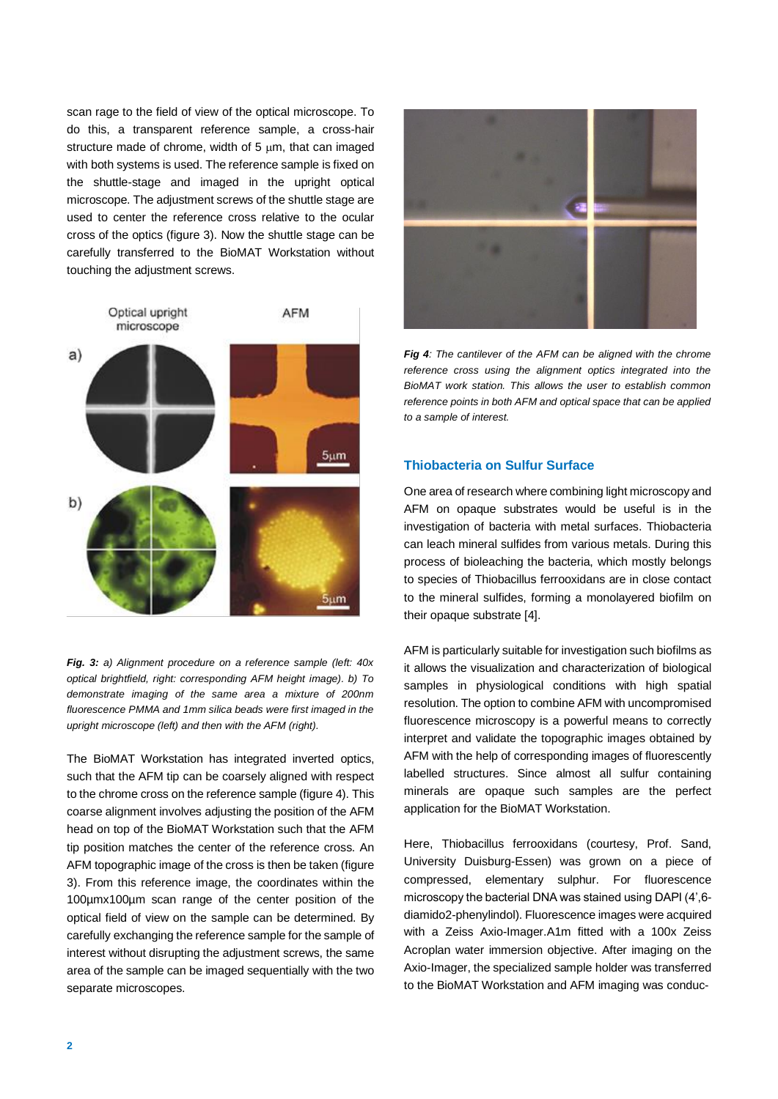scan rage to the field of view of the optical microscope. To do this, a transparent reference sample, a cross-hair structure made of chrome, width of  $5 \mu m$ , that can imaged with both systems is used. The reference sample is fixed on the shuttle-stage and imaged in the upright optical microscope. The adjustment screws of the shuttle stage are used to center the reference cross relative to the ocular cross of the optics (figure 3). Now the shuttle stage can be carefully transferred to the BioMAT Workstation without touching the adjustment screws.



*Fig. 3: a) Alignment procedure on a reference sample (left: 40x optical brightfield, right: corresponding AFM height image). b) To demonstrate imaging of the same area a mixture of 200nm fluorescence PMMA and 1mm silica beads were first imaged in the upright microscope (left) and then with the AFM (right).*

The BioMAT Workstation has integrated inverted optics, such that the AFM tip can be coarsely aligned with respect to the chrome cross on the reference sample (figure 4). This coarse alignment involves adjusting the position of the AFM head on top of the BioMAT Workstation such that the AFM tip position matches the center of the reference cross. An AFM topographic image of the cross is then be taken (figure 3). From this reference image, the coordinates within the 100µmx100µm scan range of the center position of the optical field of view on the sample can be determined. By carefully exchanging the reference sample for the sample of interest without disrupting the adjustment screws, the same area of the sample can be imaged sequentially with the two separate microscopes.



*Fig 4: The cantilever of the AFM can be aligned with the chrome reference cross using the alignment optics integrated into the BioMAT work station. This allows the user to establish common reference points in both AFM and optical space that can be applied to a sample of interest.*

# **Thiobacteria on Sulfur Surface**

One area of research where combining light microscopy and AFM on opaque substrates would be useful is in the investigation of bacteria with metal surfaces. Thiobacteria can leach mineral sulfides from various metals. During this process of bioleaching the bacteria, which mostly belongs to species of Thiobacillus ferrooxidans are in close contact to the mineral sulfides, forming a monolayered biofilm on their opaque substrate [4].

AFM is particularly suitable for investigation such biofilms as it allows the visualization and characterization of biological samples in physiological conditions with high spatial resolution. The option to combine AFM with uncompromised fluorescence microscopy is a powerful means to correctly interpret and validate the topographic images obtained by AFM with the help of corresponding images of fluorescently labelled structures. Since almost all sulfur containing minerals are opaque such samples are the perfect application for the BioMAT Workstation.

Here, Thiobacillus ferrooxidans (courtesy, Prof. Sand, University Duisburg-Essen) was grown on a piece of compressed, elementary sulphur. For fluorescence microscopy the bacterial DNA was stained using DAPI (4',6 diamido2-phenylindol). Fluorescence images were acquired with a Zeiss Axio-Imager.A1m fitted with a 100x Zeiss Acroplan water immersion objective. After imaging on the Axio-Imager, the specialized sample holder was transferred to the BioMAT Workstation and AFM imaging was conduc-